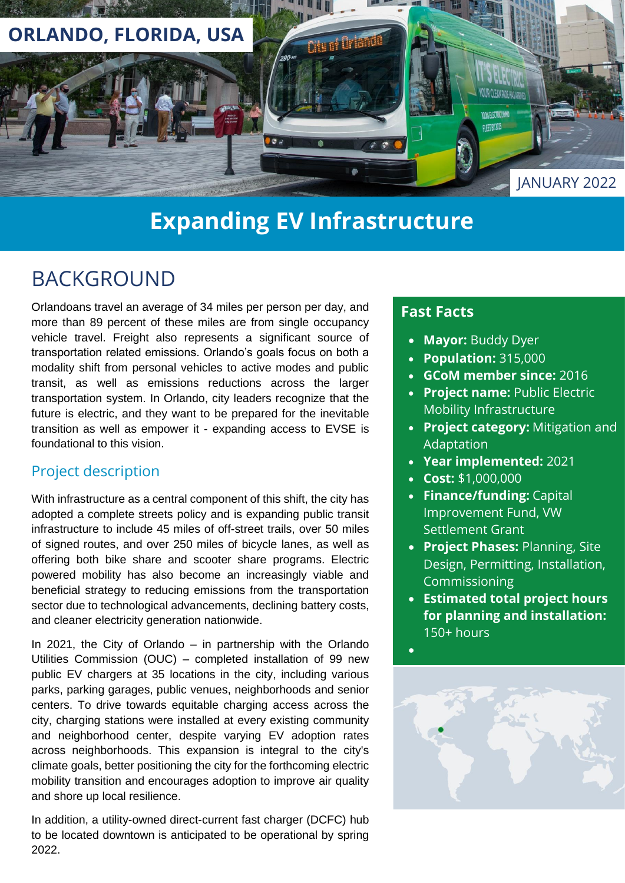

# **Expanding EV Infrastructure**

## BACKGROUND

Orlandoans travel an average of 34 miles per person per day, and more than 89 percent of these miles are from single occupancy vehicle travel. Freight also represents a significant source of transportation related emissions. Orlando's goals focus on both a modality shift from personal vehicles to active modes and public transit, as well as emissions reductions across the larger transportation system. In Orlando, city leaders recognize that the future is electric, and they want to be prepared for the inevitable transition as well as empower it - expanding access to EVSE is foundational to this vision.

### Project description

With infrastructure as a central component of this shift, the city has adopted a complete streets policy and is expanding public transit infrastructure to include 45 miles of off-street trails, over 50 miles of signed routes, and over 250 miles of bicycle lanes, as well as offering both bike share and scooter share programs. Electric powered mobility has also become an increasingly viable and beneficial strategy to reducing emissions from the transportation sector due to technological advancements, declining battery costs, and cleaner electricity generation nationwide.

In 2021, the City of Orlando – in partnership with the Orlando Utilities Commission (OUC) – completed installation of 99 new public EV chargers at 35 locations in the city, including various parks, parking garages, public venues, neighborhoods and senior centers. To drive towards equitable charging access across the city, charging stations were installed at every existing community and neighborhood center, despite varying EV adoption rates across neighborhoods. This expansion is integral to the city's climate goals, better positioning the city for the forthcoming electric mobility transition and encourages adoption to improve air quality and shore up local resilience.

In addition, a utility-owned direct-current fast charger (DCFC) hub to be located downtown is anticipated to be operational by spring 2022.

### **Fast Facts**

- **Mayor:** Buddy Dyer
- **Population:** 315,000
- **GCoM member since:** 2016
- **Project name:** Public Electric Mobility Infrastructure
- **Project category:** Mitigation and Adaptation
- **Year implemented:** 2021
- **Cost:** \$1,000,000
- **Finance/funding:** Capital Improvement Fund, VW Settlement Grant
- **Project Phases:** Planning, Site Design, Permitting, Installation, Commissioning
- **Estimated total project hours for planning and installation:** 150+ hours



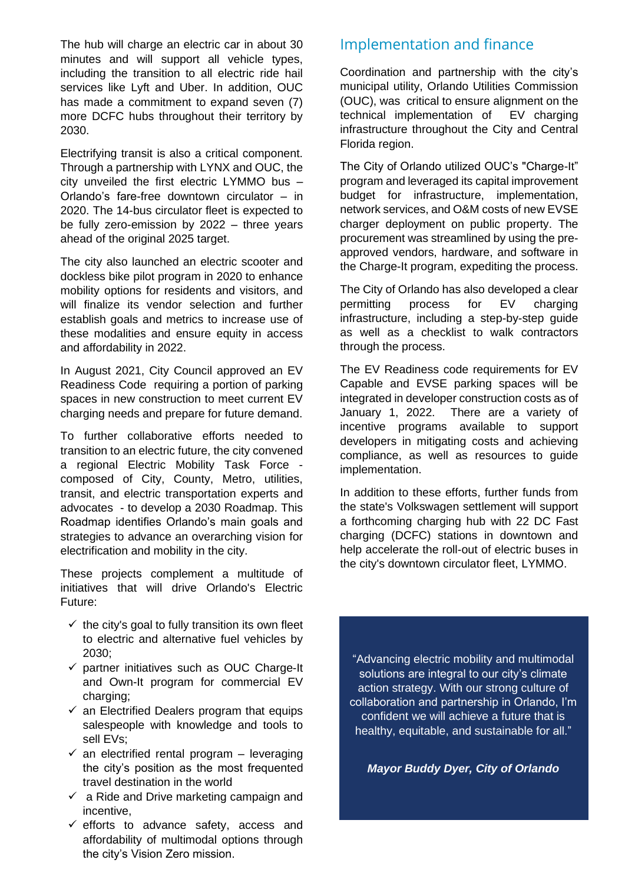The hub will charge an electric car in about 30 minutes and will support all vehicle types, including the transition to all electric ride hail services like Lyft and Uber. In addition, OUC has made a commitment to expand seven (7) more DCFC hubs throughout their territory by 2030.

Electrifying transit is also a critical component. Through a partnership with LYNX and OUC, the city unveiled the first electric LYMMO bus – Orlando's fare-free downtown circulator – in 2020. The 14-bus circulator fleet is expected to be fully zero-emission by 2022 – three years ahead of the original 2025 target.

The city also launched an electric scooter and dockless bike pilot program in 2020 to enhance mobility options for residents and visitors, and will finalize its vendor selection and further establish goals and metrics to increase use of these modalities and ensure equity in access and affordability in 2022.

In August 2021, City Council approved an EV Readiness Code requiring a portion of parking spaces in new construction to meet current EV charging needs and prepare for future demand.

To further collaborative efforts needed to transition to an electric future, the city convened a regional Electric Mobility Task Force composed of City, County, Metro, utilities, transit, and electric transportation experts and advocates - to develop a 2030 Roadmap. This Roadmap identifies Orlando's main goals and strategies to advance an overarching vision for electrification and mobility in the city.

These projects complement a multitude of initiatives that will drive Orlando's Electric Future:

- $\checkmark$  the city's goal to fully transition its own fleet to electric and alternative fuel vehicles by 2030;
- $\checkmark$  partner initiatives such as OUC Charge-It and Own-It program for commercial EV charging:
- $\checkmark$  an Electrified Dealers program that equips salespeople with knowledge and tools to sell EVs;
- $\checkmark$  an electrified rental program leveraging the city's position as the most frequented travel destination in the world
- $\checkmark$  a Ride and Drive marketing campaign and incentive,
- $\checkmark$  efforts to advance safety, access and affordability of multimodal options through the city's Vision Zero mission.

### Implementation and finance

Coordination and partnership with the city's municipal utility, Orlando Utilities Commission (OUC), was critical to ensure alignment on the technical implementation of EV charging infrastructure throughout the City and Central Florida region.

The City of Orlando utilized OUC's "Charge-It" program and leveraged its capital improvement budget for infrastructure, implementation, network services, and O&M costs of new EVSE charger deployment on public property. The procurement was streamlined by using the preapproved vendors, hardware, and software in the Charge-It program, expediting the process.

The City of Orlando has also developed a clear permitting process for EV charging infrastructure, including a step-by-step guide as well as a checklist to walk contractors through the process.

The EV Readiness code requirements for EV Capable and EVSE parking spaces will be integrated in developer construction costs as of January 1, 2022. There are a variety of incentive programs available to support developers in mitigating costs and achieving compliance, as well as resources to guide implementation.

In addition to these efforts, further funds from the state's Volkswagen settlement will support a forthcoming charging hub with 22 DC Fast charging (DCFC) stations in downtown and help accelerate the roll-out of electric buses in the city's downtown circulator fleet, LYMMO.

"Advancing electric mobility and multimodal solutions are integral to our city's climate action strategy. With our strong culture of collaboration and partnership in Orlando, I'm confident we will achieve a future that is healthy, equitable, and sustainable for all."

*Mayor Buddy Dyer, City of Orlando*